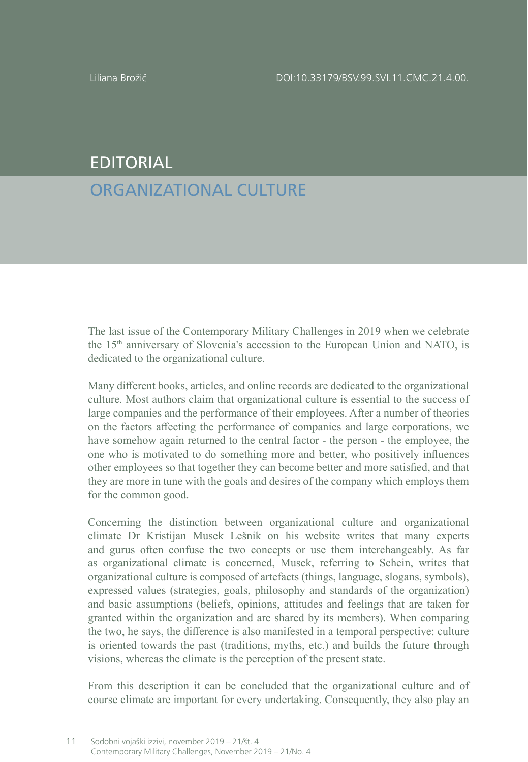## EDITORIAL

## ORGANIZATIONAL CULTURF

The last issue of the Contemporary Military Challenges in 2019 when we celebrate the 15th anniversary of Slovenia's accession to the European Union and NATO, is dedicated to the organizational culture.

Many different books, articles, and online records are dedicated to the organizational culture. Most authors claim that organizational culture is essential to the success of large companies and the performance of their employees. After a number of theories on the factors affecting the performance of companies and large corporations, we have somehow again returned to the central factor - the person - the employee, the one who is motivated to do something more and better, who positively influences other employees so that together they can become better and more satisfied, and that they are more in tune with the goals and desires of the company which employs them for the common good.

Concerning the distinction between organizational culture and organizational climate Dr Kristijan Musek Lešnik on his website writes that many experts and gurus often confuse the two concepts or use them interchangeably. As far as organizational climate is concerned, Musek, referring to Schein, writes that organizational culture is composed of artefacts (things, language, slogans, symbols), expressed values (strategies, goals, philosophy and standards of the organization) and basic assumptions (beliefs, opinions, attitudes and feelings that are taken for granted within the organization and are shared by its members). When comparing the two, he says, the difference is also manifested in a temporal perspective: culture is oriented towards the past (traditions, myths, etc.) and builds the future through visions, whereas the climate is the perception of the present state.

From this description it can be concluded that the organizational culture and of course climate are important for every undertaking. Consequently, they also play an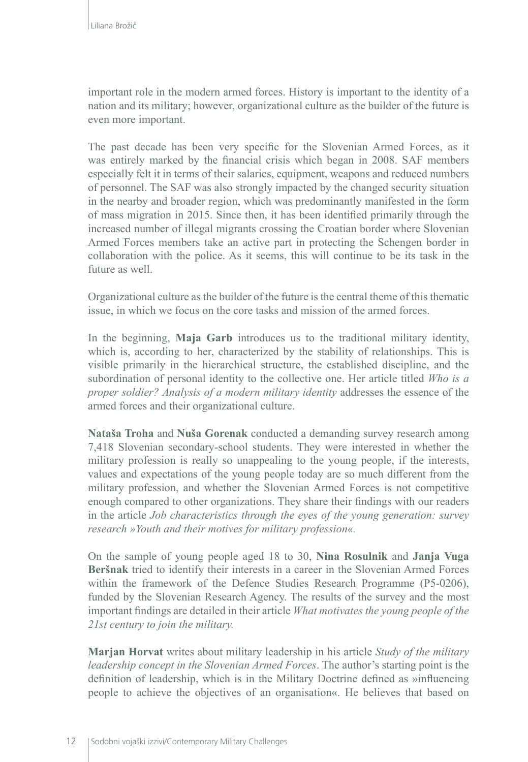important role in the modern armed forces. History is important to the identity of a nation and its military; however, organizational culture as the builder of the future is even more important.

The past decade has been very specific for the Slovenian Armed Forces, as it was entirely marked by the financial crisis which began in 2008. SAF members especially felt it in terms of their salaries, equipment, weapons and reduced numbers of personnel. The SAF was also strongly impacted by the changed security situation in the nearby and broader region, which was predominantly manifested in the form of mass migration in 2015. Since then, it has been identified primarily through the increased number of illegal migrants crossing the Croatian border where Slovenian Armed Forces members take an active part in protecting the Schengen border in collaboration with the police. As it seems, this will continue to be its task in the future as well.

Organizational culture as the builder of the future is the central theme of this thematic issue, in which we focus on the core tasks and mission of the armed forces.

In the beginning, **Maja Garb** introduces us to the traditional military identity, which is, according to her, characterized by the stability of relationships. This is visible primarily in the hierarchical structure, the established discipline, and the subordination of personal identity to the collective one. Her article titled *Who is a proper soldier? Analysis of a modern military identity* addresses the essence of the armed forces and their organizational culture.

**Nataša Troha** and **Nuša Gorenak** conducted a demanding survey research among 7,418 Slovenian secondary-school students. They were interested in whether the military profession is really so unappealing to the young people, if the interests, values and expectations of the young people today are so much different from the military profession, and whether the Slovenian Armed Forces is not competitive enough compared to other organizations. They share their findings with our readers in the article *Job characteristics through the eyes of the young generation: survey research »Youth and their motives for military profession«.*

On the sample of young people aged 18 to 30, **Nina Rosulnik** and **Janja Vuga Beršnak** tried to identify their interests in a career in the Slovenian Armed Forces within the framework of the Defence Studies Research Programme (P5-0206), funded by the Slovenian Research Agency. The results of the survey and the most important findings are detailed in their article *What motivates the young people of the 21st century to join the military.*

**Marjan Horvat** writes about military leadership in his article *Study of the military leadership concept in the Slovenian Armed Forces*. The author's starting point is the definition of leadership, which is in the Military Doctrine defined as »influencing people to achieve the objectives of an organisation«. He believes that based on